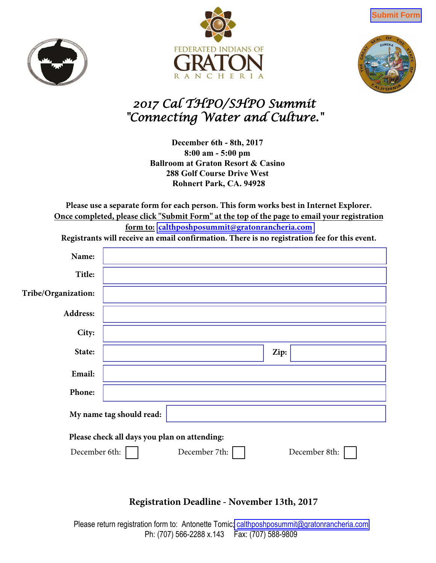







## *2017 Cal THPO/SHPO Summit "Connecting Water and Culture."*

**December 6th - 8th, 2017 8:00 am - 5:00 pm Ballroom at Graton Resort & Casino 288 Golf Course Drive West Rohnert Park, CA. 94928**

**Please use a separate form for each person. This form works best in Internet Explorer. Once completed, please click "Submit Form" at the top of the page to email your registration form to: [calthposhposummit@gratonrancheria.com](mailto:calthposhposummit@gratonrancheria.com?subject=2017 Cal THPO/SHPO Summit)**

**Registrants will receive an email confirmation. There is no registration fee for this event.**

| Name:                                                                                           |  |  |      |  |
|-------------------------------------------------------------------------------------------------|--|--|------|--|
| Title:                                                                                          |  |  |      |  |
| Tribe/Organization:                                                                             |  |  |      |  |
| Address:                                                                                        |  |  |      |  |
| City:                                                                                           |  |  |      |  |
| State:                                                                                          |  |  | Zip: |  |
| Email:                                                                                          |  |  |      |  |
| Phone:                                                                                          |  |  |      |  |
| My name tag should read:                                                                        |  |  |      |  |
| Please check all days you plan on attending:<br>December 7th:<br>December 6th:<br>December 8th: |  |  |      |  |
|                                                                                                 |  |  |      |  |

## **Registration Deadline - November 13th, 2017**

Please return registration form to: Antonette Tomic[; calthposhposummit@gratonrancheria.com](mailto:calthposhposummit@gratonrancheria.com?subject=2017 Cal THPO/SHPO Summit) Ph: (707) 566-2288 x.143 Fax: (707) 588-9809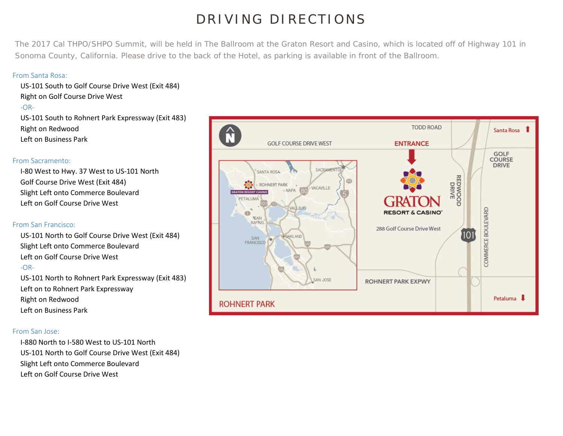# DRIVING DIRECTIONS

The 2017 Cal THPO/SHPO Summit, will be held in The Ballroom at the Graton Resort and Casino, which is located off of Highway 101 in Sonoma County, California. Please drive to the back of the Hotel, as parking is available in front of the Ballroom.

#### From Santa Rosa:

US-101 South to Golf Course Drive West (Exit 484) Right on Golf Course Drive West  $-OR-$ US-101 South to Rohnert Park Expressway (Exit 483) Right on Redwood Left on Business Park

#### From Sacramento:

I-80 West to Hwy. 37 West to US-101 North Golf Course Drive West (Exit 484) Slight Left onto Commerce Boulevard Left on Golf Course Drive West

#### From San Francisco:

US-101 North to Golf Course Drive West (Exit 484) Slight Left onto Commerce Boulevard Left on Golf Course Drive West -OR-

US-101 North to Rohnert Park Expressway (Exit 483) Left on to Rohnert Park Expressway Right on Redwood Left on Business Park

#### From San Jose:

I-880 North to I-580 West to US-101 North US-101 North to Golf Course Drive West (Exit 484) Slight Left onto Commerce Boulevard Left on Golf Course Drive West